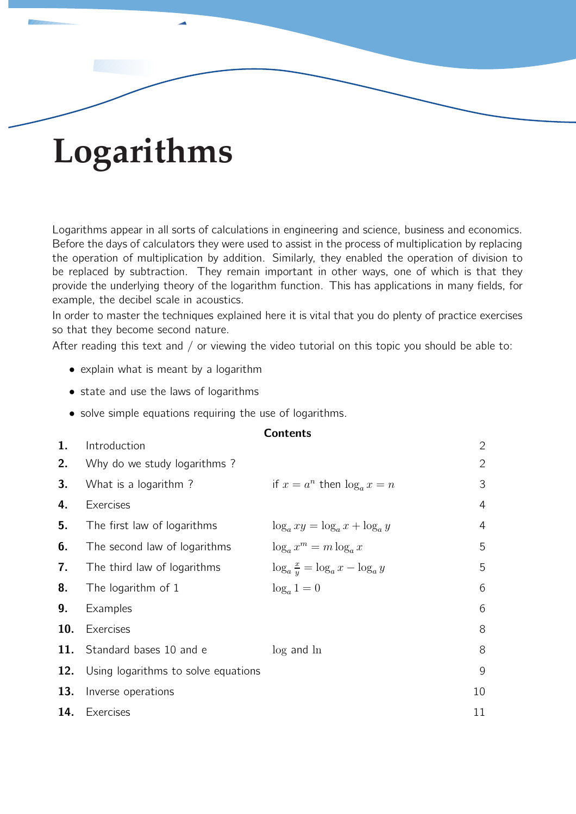# **Logarithms**

Logarithms appear in all sorts of calculations in engineering and science, business and economics. Before the days of calculators they were used to assist in the process of multiplication by replacing the operation of multiplication by addition. Similarly, they enabled the operation of division to be replaced by subtraction. They remain important in other ways, one of which is that they provide the underlying theory of the logarithm function. This has applications in many fields, for example, the decibel scale in acoustics.

In order to master the techniques explained here it is vital that you do plenty of practice exercises so that they become second nature.

After reading this text and / or viewing the video tutorial on this topic you should be able to:

- explain what is meant by a logarithm
- state and use the laws of logarithms
- solve simple equations requiring the use of logarithms.

|     |                                     | CUILLEILS                                  |              |
|-----|-------------------------------------|--------------------------------------------|--------------|
| 1.  | Introduction                        |                                            | $\mathbf{2}$ |
| 2.  | Why do we study logarithms?         |                                            | $\mathbf{2}$ |
| 3.  | What is a logarithm?                | if $x = a^n$ then $\log_a x = n$           | 3            |
| 4.  | Exercises                           |                                            | 4            |
| 5.  | The first law of logarithms         | $\log_a xy = \log_a x + \log_a y$          | 4            |
| 6.  | The second law of logarithms        | $\log_a x^m = m \log_a x$                  | 5            |
| 7.  | The third law of logarithms         | $\log_a \frac{x}{y} = \log_a x - \log_a y$ | 5            |
| 8.  | The logarithm of 1                  | $\log_a 1 = 0$                             | 6            |
| 9.  | Examples                            |                                            | 6            |
| 10. | Exercises                           |                                            | 8            |
| 11. | Standard bases 10 and e             | $log$ and $ln$                             | 8            |
| 12. | Using logarithms to solve equations |                                            | 9            |
| 13. | Inverse operations                  |                                            | 10           |
| 14. | Exercises                           |                                            | 11           |

#### $Contone$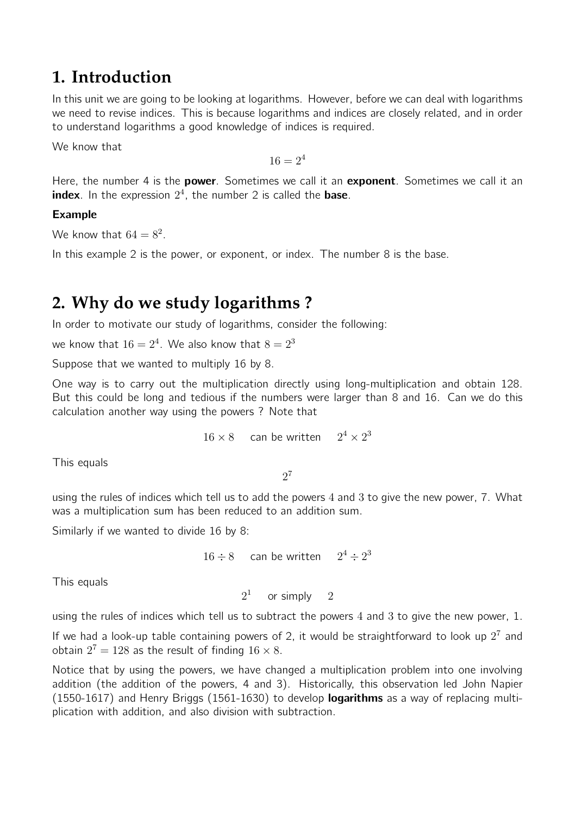# **1. Introduction**

In this unit we are going to be looking at logarithms. However, before we can deal with logarithms we need to revise indices. This is because logarithms and indices are closely related, and in order to understand logarithms a good knowledge of indices is required.

We know that

 $16 = 2^4$ 

Here, the number 4 is the **power**. Sometimes we call it an **exponent**. Sometimes we call it an index. In the expression  $2^4$ , the number 2 is called the base.

#### Example

We know that  $64 = 8^2$ .

In this example 2 is the power, or exponent, or index. The number 8 is the base.

# **2. Why do we study logarithms ?**

In order to motivate our study of logarithms, consider the following:

we know that  $16 = 2^4$ . We also know that  $8 = 2^3$ 

Suppose that we wanted to multiply 16 by 8.

One way is to carry out the multiplication directly using long-multiplication and obtain 128. But this could be long and tedious if the numbers were larger than 8 and 16. Can we do this calculation another way using the powers ? Note that

$$
16 \times 8 \qquad \text{can be written} \qquad 2^4 \times 2^3
$$

This equals

2 7

using the rules of indices which tell us to add the powers 4 and 3 to give the new power, 7. What was a multiplication sum has been reduced to an addition sum.

Similarly if we wanted to divide 16 by 8:

```
16 \div 8 can be written 2^4 \div 2^3
```
This equals

 $2<sup>1</sup>$ or simply 2

using the rules of indices which tell us to subtract the powers 4 and 3 to give the new power, 1.

If we had a look-up table containing powers of 2, it would be straightforward to look up  $2^7$  and obtain  $2^7 = 128$  as the result of finding  $16 \times 8$ .

Notice that by using the powers, we have changed a multiplication problem into one involving addition (the addition of the powers, 4 and 3). Historically, this observation led John Napier (1550-1617) and Henry Briggs (1561-1630) to develop **logarithms** as a way of replacing multiplication with addition, and also division with subtraction.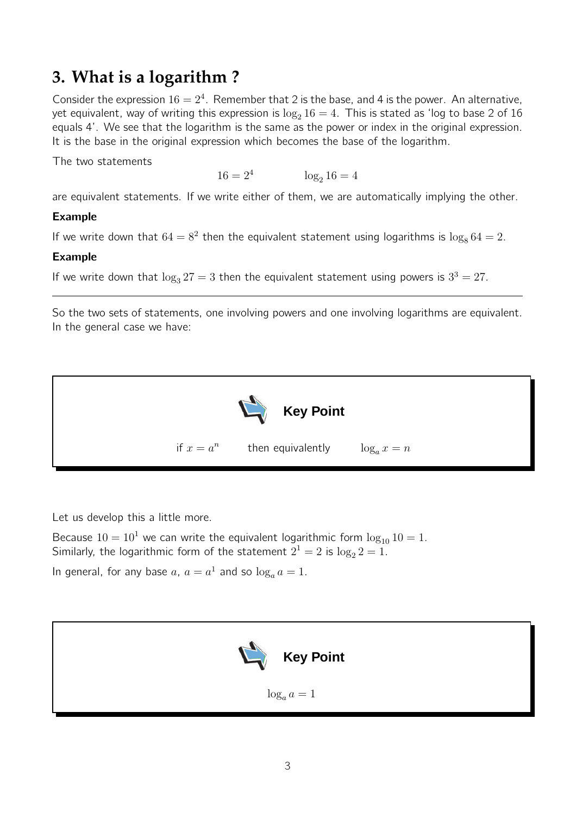# **3. What is a logarithm ?**

Consider the expression  $16 = 2^4$ . Remember that 2 is the base, and 4 is the power. An alternative, yet equivalent, way of writing this expression is  $\log_2 16 = 4$ . This is stated as 'log to base 2 of 16 equals 4'. We see that the logarithm is the same as the power or index in the original expression. It is the base in the original expression which becomes the base of the logarithm.

The two statements

 $16 = 2^4$  $\log_2 16 = 4$ 

are equivalent statements. If we write either of them, we are automatically implying the other.

#### Example

If we write down that  $64 = 8^2$  then the equivalent statement using logarithms is  $\log_8 64 = 2$ .

#### Example

If we write down that  $\log_3 27 = 3$  then the equivalent statement using powers is  $3^3 = 27$ .

So the two sets of statements, one involving powers and one involving logarithms are equivalent. In the general case we have:



Let us develop this a little more.

Because  $10 = 10<sup>1</sup>$  we can write the equivalent logarithmic form  $\log_{10} 10 = 1$ . Similarly, the logarithmic form of the statement  $2^1 = 2$  is  $\log_2 2 = 1$ . In general, for any base  $a, a = a^1$  and so  $\log_a a = 1$ .

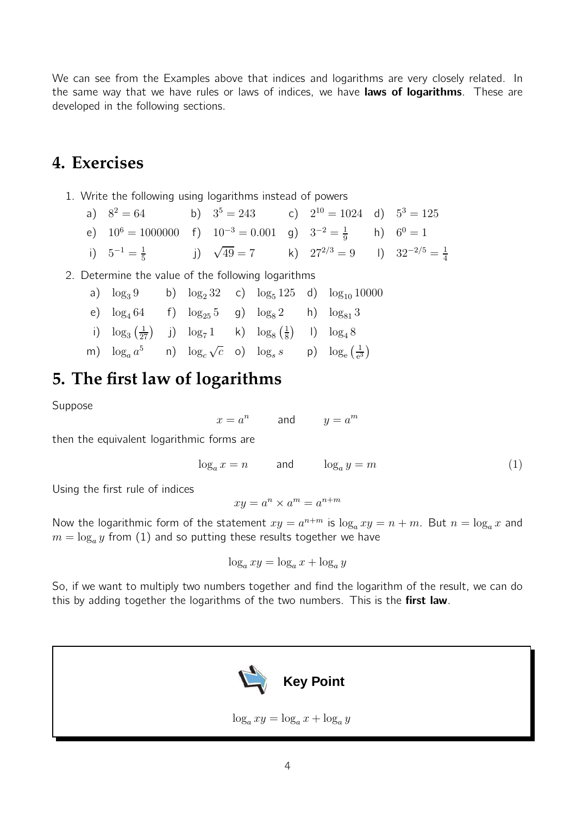We can see from the Examples above that indices and logarithms are very closely related. In the same way that we have rules or laws of indices, we have laws of logarithms. These are developed in the following sections.

### **4. Exercises**

- 1. Write the following using logarithms instead of powers
	- a)  $8^2 = 64$  b)  $3^5 = 243$  c)  $2^{10} = 1024$  d)  $5^3 = 125$ e)  $10^6 = 1000000$  f)  $10^{-3} = 0.001$  g)  $3^{-2} = \frac{1}{9}$  $\frac{1}{9}$  h)  $6^0 = 1$ i)  $5^{-1} = \frac{1}{5}$  $\frac{1}{5}$  j)  $\sqrt{49} = 7$  k)  $27^{2/3} = 9$  l)  $32^{-2/5} = \frac{1}{4}$ 4

#### 2. Determine the value of the following logarithms

- a)  $\log_3 9$  b)  $\log_2 32$  c)  $\log_5 125$  d)  $\log_{10} 10000$ e)  $\log_4 64$  f)  $\log_{25} 5$  g)  $\log_8 2$  h)  $\log_{81} 3$
- i)  $\log_3(\frac{1}{27})$  j)  $\log_7 1$  k)  $\log_8 (\frac{1}{8})$  $\frac{1}{8}$  1)  $\log_4 8$
- m)  $\log_a a^5$  n)  $\log_c \sqrt{c}$  o)  $\log_s s$  p)  $\log_e \left(\frac{1}{e^5}\right)$  $\frac{1}{e^3}$

# **5. The first law of logarithms**

Suppose

$$
x = a^n \qquad \text{and} \qquad y = a^m
$$

then the equivalent logarithmic forms are

$$
\log_a x = n \qquad \text{and} \qquad \log_a y = m \tag{1}
$$

Using the first rule of indices

$$
xy = a^n \times a^m = a^{n+m}
$$

Now the logarithmic form of the statement  $xy = a^{n+m}$  is  $\log_a xy = n + m$ . But  $n = \log_a x$  and  $m=\log_a y$  from  $(1)$  and so putting these results together we have

$$
\log_a xy = \log_a x + \log_a y
$$

So, if we want to multiply two numbers together and find the logarithm of the result, we can do this by adding together the logarithms of the two numbers. This is the first law.

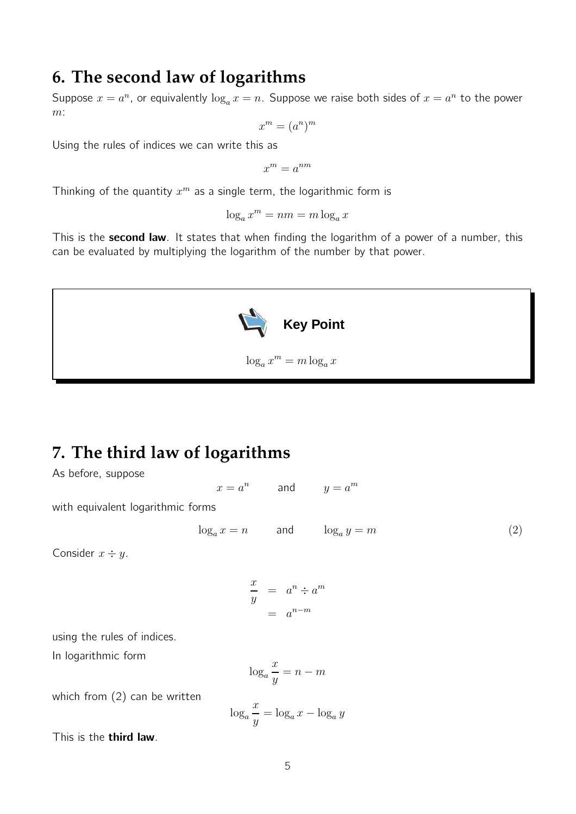### **6. The second law of logarithms**

Suppose  $x = a^n$ , or equivalently  $\log_a x = n$ . Suppose we raise both sides of  $x = a^n$  to the power  $m$ :

$$
x^m = (a^n)^m
$$

Using the rules of indices we can write this as

 $x^m = a^{nm}$ 

Thinking of the quantity  $x^m$  as a single term, the logarithmic form is

 $\log_a x^m = nm = m \log_a x$ 

This is the second law. It states that when finding the logarithm of a power of a number, this can be evaluated by multiplying the logarithm of the number by that power.



# **7. The third law of logarithms**

As before, suppose

 $x = a^n$ and  $y=a^m$ 

with equivalent logarithmic forms

$$
\log_a x = n \qquad \text{and} \qquad \log_a y = m \tag{2}
$$

Consider  $x \div y$ .

$$
\frac{x}{y} = a^n \div a^m
$$

$$
= a^{n-m}
$$

using the rules of indices.

In logarithmic form

$$
\log_a \frac{x}{y} = n - m
$$

which from (2) can be written

$$
\log_a \frac{x}{y} = \log_a x - \log_a y
$$

This is the third law.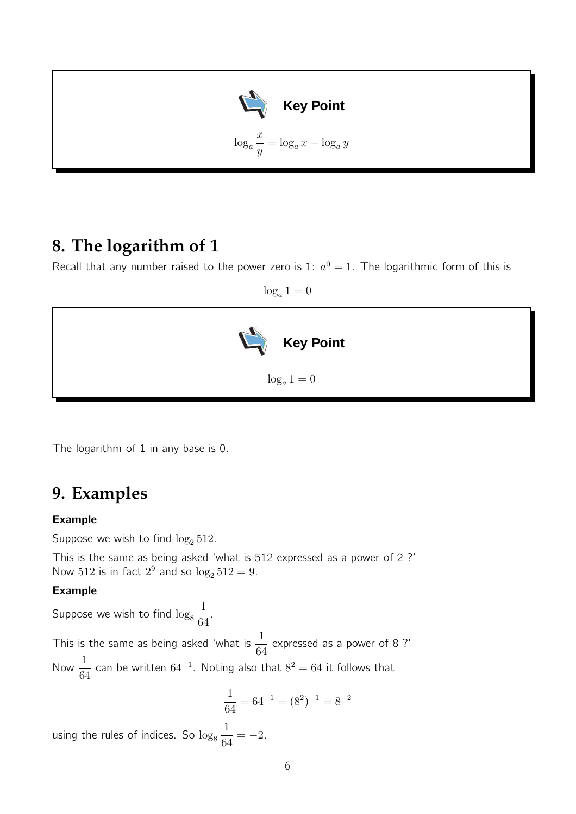

# **8. The logarithm of 1**

Recall that any number raised to the power zero is 1:  $a^0 = 1$ . The logarithmic form of this is

 $\log_a 1 = 0$ 



The logarithm of 1 in any base is 0.

### **9. Examples**

#### Example

Suppose we wish to find  $\log_2 512$ .

This is the same as being asked 'what is 512 expressed as a power of 2 ?' Now 512 is in fact  $2^9$  and so  $\log_2 512 = 9$ .

#### Example

Suppose we wish to find  $\log_8\frac{1}{64}$ 64 .

This is the same as being asked 'what is  $\frac{1}{3}$ 64 expressed as a power of 8 ?' Now  $\frac{1}{c}$ 64 can be written  $64^{-1}$ . Noting also that  $8^2 = 64$  it follows that

$$
\frac{1}{64} = 64^{-1} = (8^2)^{-1} = 8^{-2}
$$

using the rules of indices. So  $\log_8\frac{1}{64}$  $\frac{1}{64} = -2.$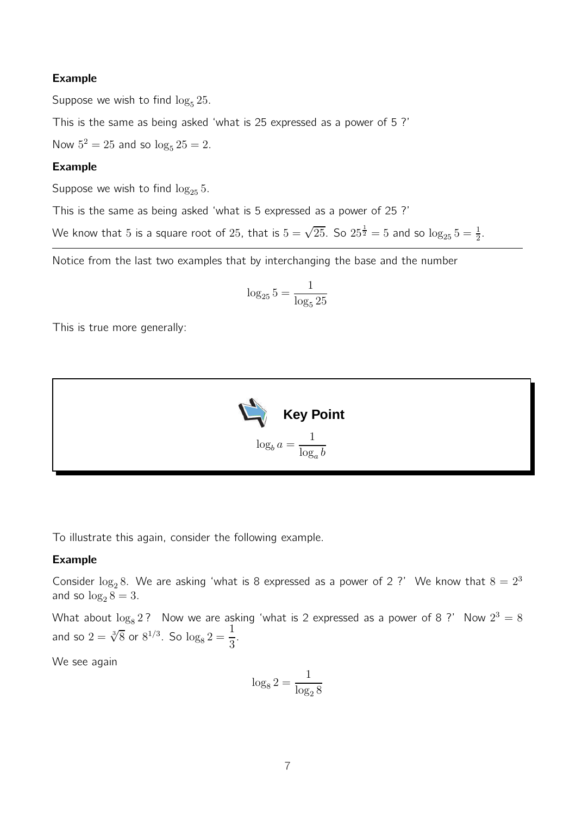#### Example

Suppose we wish to find  $\log_5 25$ .

This is the same as being asked 'what is 25 expressed as a power of 5 ?'

Now  $5^2 = 25$  and so  $\log_5 25 = 2$ .

#### Example

Suppose we wish to find  $\log_{25} 5$ .

This is the same as being asked 'what is 5 expressed as a power of 25 ?'

We know that 5 is a square root of 25, that is  $5=\sqrt{25}$ . So  $25^\frac{1}{2}=5$  and so  $\log_{25} 5 = \frac{1}{2}$ .

Notice from the last two examples that by interchanging the base and the number

$$
\log_{25} 5 = \frac{1}{\log_5 25}
$$

This is true more generally:



To illustrate this again, consider the following example.

#### Example

Consider  $\log_2 8$ . We are asking 'what is 8 expressed as a power of 2 ?' We know that  $8 = 2^3$ and so  $\log_2 8 = 3$ .

What about  $\log_8 2$  ? Now we are asking 'what is 2 expressed as a power of 8 ?' Now  $2^3 = 8$ and so  $2 = \sqrt[3]{8}$  or  $8^{1/3}$ . So  $\log_8 2 = \frac{1}{3}$ 3 .

We see again

$$
\log_8 2 = \frac{1}{\log_2 8}
$$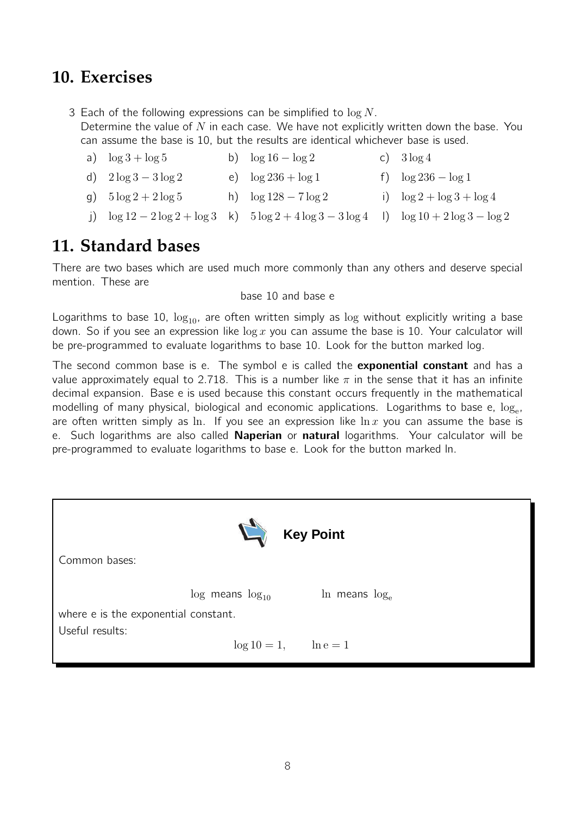# **10. Exercises**

3 Each of the following expressions can be simplified to  $\log N$ . Determine the value of  $N$  in each case. We have not explicitly written down the base. You can assume the base is 10, but the results are identical whichever base is used.

- a)  $\log 3 + \log 5$  b)  $\log 16 \log 2$  c)  $3 \log 4$ d)  $2 \log 3 - 3 \log 2$  e)  $\log 236 + \log 1$  f)  $\log 236 - \log 1$
- q)  $5 \log 2 + 2 \log 5$  h)  $\log 128 7 \log 2$  i)  $\log 2 + \log 3 + \log 4$
- j)  $\log 12 2 \log 2 + \log 3$  k)  $5 \log 2 + 4 \log 3 3 \log 4$  l)  $\log 10 + 2 \log 3 \log 2$

# **11. Standard bases**

There are two bases which are used much more commonly than any others and deserve special mention. These are

#### base 10 and base e

Logarithms to base 10,  $log_{10}$ , are often written simply as  $log$  without explicitly writing a base down. So if you see an expression like  $\log x$  you can assume the base is 10. Your calculator will be pre-programmed to evaluate logarithms to base 10. Look for the button marked log.

The second common base is e. The symbol e is called the **exponential constant** and has a value approximately equal to 2.718. This is a number like  $\pi$  in the sense that it has an infinite decimal expansion. Base e is used because this constant occurs frequently in the mathematical modelling of many physical, biological and economic applications. Logarithms to base e,  $\log_{\rm e}$ , are often written simply as ln. If you see an expression like  $\ln x$  you can assume the base is e. Such logarithms are also called **Naperian** or natural logarithms. Your calculator will be pre-programmed to evaluate logarithms to base e. Look for the button marked ln.

| <b>Key Point</b><br>Common bases:    |                            |                      |  |  |  |  |  |
|--------------------------------------|----------------------------|----------------------|--|--|--|--|--|
| where e is the exponential constant. | $\log$ means $\log_{10}$   | $\ln$ means $\log_e$ |  |  |  |  |  |
| Useful results:                      | $\log 10 = 1,$ $\ln e = 1$ |                      |  |  |  |  |  |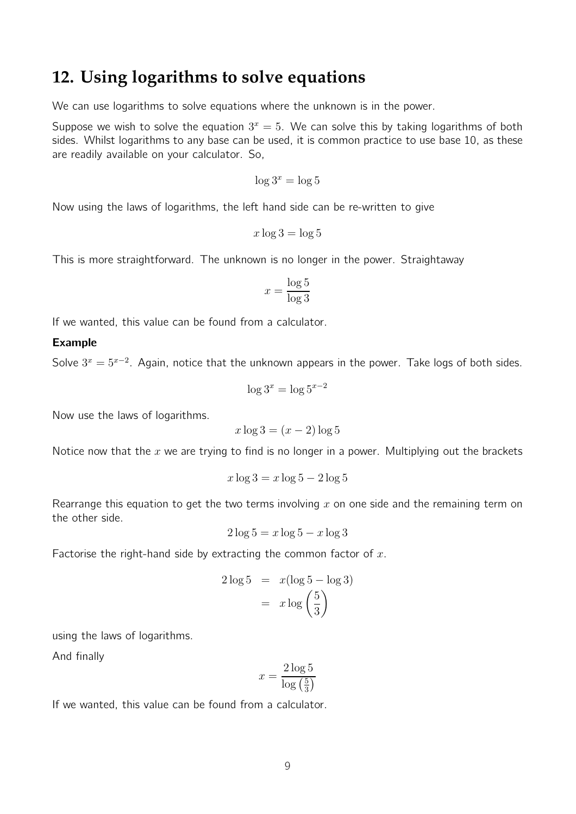### **12. Using logarithms to solve equations**

We can use logarithms to solve equations where the unknown is in the power.

Suppose we wish to solve the equation  $3^x = 5$ . We can solve this by taking logarithms of both sides. Whilst logarithms to any base can be used, it is common practice to use base 10, as these are readily available on your calculator. So,

$$
\log 3^x = \log 5
$$

Now using the laws of logarithms, the left hand side can be re-written to give

$$
x\log 3 = \log 5
$$

This is more straightforward. The unknown is no longer in the power. Straightaway

$$
x = \frac{\log 5}{\log 3}
$$

If we wanted, this value can be found from a calculator.

#### Example

Solve  $3^x = 5^{x-2}$ . Again, notice that the unknown appears in the power. Take logs of both sides.

$$
\log 3^x = \log 5^{x-2}
$$

Now use the laws of logarithms.

$$
x \log 3 = (x - 2) \log 5
$$

Notice now that the  $x$  we are trying to find is no longer in a power. Multiplying out the brackets

$$
x\log 3 = x\log 5 - 2\log 5
$$

Rearrange this equation to get the two terms involving x on one side and the remaining term on the other side.

$$
2\log 5 = x\log 5 - x\log 3
$$

Factorise the right-hand side by extracting the common factor of  $x$ .

$$
2\log 5 = x(\log 5 - \log 3)
$$

$$
= x\log\left(\frac{5}{3}\right)
$$

using the laws of logarithms.

And finally

$$
x = \frac{2\log 5}{\log\left(\frac{5}{3}\right)}
$$

If we wanted, this value can be found from a calculator.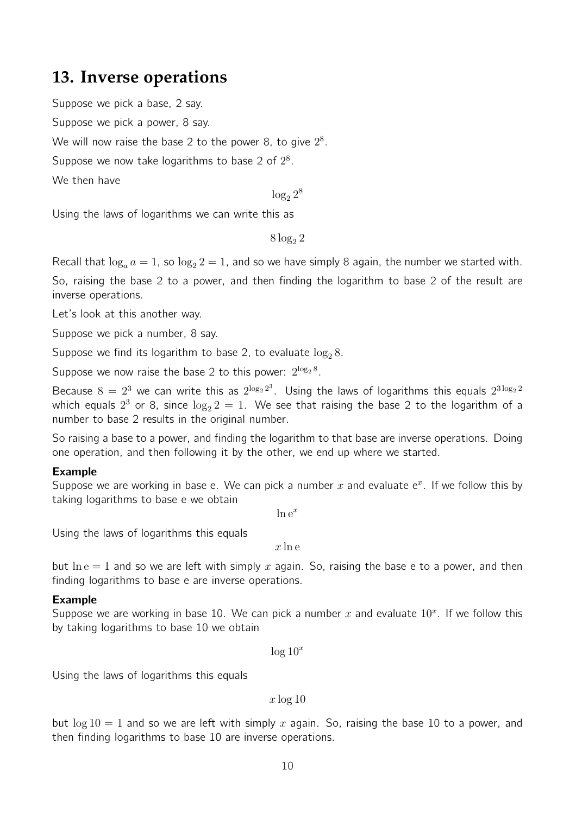# **13. Inverse operations**

Suppose we pick a base, 2 say.

Suppose we pick a power, 8 say.

We will now raise the base 2 to the power 8, to give  $2^8$ .

Suppose we now take logarithms to base 2 of  $2^8$ .

We then have

 $\log_2 2^8$ 

Using the laws of logarithms we can write this as

 $8 \log_2 2$ 

Recall that  $\log_a a = 1$ , so  $\log_2 2 = 1$ , and so we have simply 8 again, the number we started with.

So, raising the base 2 to a power, and then finding the logarithm to base 2 of the result are inverse operations.

Let's look at this another way.

Suppose we pick a number, 8 say.

Suppose we find its logarithm to base 2, to evaluate  $\log_2 8$ .

Suppose we now raise the base 2 to this power:  $2^{\log_2 8}$ .

Because  $8 = 2^3$  we can write this as  $2^{\log_2 2^3}$ . Using the laws of logarithms this equals  $2^{3\log_2 2}$ which equals  $2^3$  or 8, since  $\log_2 2 = 1$ . We see that raising the base 2 to the logarithm of a number to base 2 results in the original number.

So raising a base to a power, and finding the logarithm to that base are inverse operations. Doing one operation, and then following it by the other, we end up where we started.

#### Example

Suppose we are working in base e. We can pick a number  $x$  and evaluate  $e^x$ . If we follow this by taking logarithms to base e we obtain

 $\ln e^x$ 

Using the laws of logarithms this equals

 $x \ln e$ 

but  $\ln e = 1$  and so we are left with simply x again. So, raising the base e to a power, and then finding logarithms to base e are inverse operations.

#### Example

Suppose we are working in base 10. We can pick a number  $x$  and evaluate  $10^x$ . If we follow this by taking logarithms to base 10 we obtain

 $\log 10^x$ 

Using the laws of logarithms this equals

 $x \log 10$ 

but  $\log 10 = 1$  and so we are left with simply x again. So, raising the base 10 to a power, and then finding logarithms to base 10 are inverse operations.